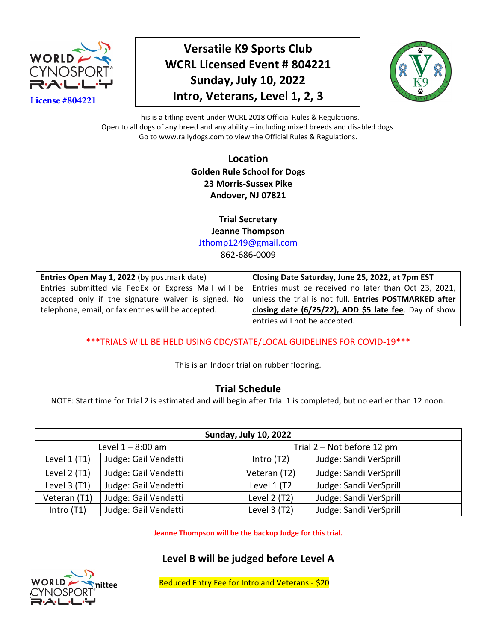

**Versatile K9 Sports Club WCRL Licensed Event # 804221 Sunday, July 10, 2022 Intro, Veterans, Level 1, 2, 3** 



This is a titling event under WCRL 2018 Official Rules & Regulations. Open to all dogs of any breed and any ability - including mixed breeds and disabled dogs. Go to www.rallydogs.com to view the Official Rules & Regulations.

> **Location Golden Rule School for Dogs 23 Morris-Sussex Pike Andover, NJ 07821**

**Trial Secretary Jeanne Thompson** Jthomp1249@gmail.com

862-686-0009

| Entries Open May 1, 2022 (by postmark date)                                                                        | Closing Date Saturday, June 25, 2022, at 7pm EST                                                           |
|--------------------------------------------------------------------------------------------------------------------|------------------------------------------------------------------------------------------------------------|
|                                                                                                                    | Entries submitted via FedEx or Express Mail will be   Entries must be received no later than Oct 23, 2021, |
| accepted only if the signature waiver is signed. No $\vert$ unless the trial is not full. Entries POSTMARKED after |                                                                                                            |
| telephone, email, or fax entries will be accepted.                                                                 | closing date (6/25/22), ADD \$5 late fee. Day of show                                                      |
|                                                                                                                    | entries will not be accepted.                                                                              |

\*\*\*TRIALS WILL BE HELD USING CDC/STATE/LOCAL GUIDELINES FOR COVID-19 \*\*\*

This is an Indoor trial on rubber flooring.

## **Trial Schedule**

NOTE: Start time for Trial 2 is estimated and will begin after Trial 1 is completed, but no earlier than 12 noon.

| <b>Sunday, July 10, 2022</b>                    |                      |              |                        |  |  |  |
|-------------------------------------------------|----------------------|--------------|------------------------|--|--|--|
| Trial 2 – Not before 12 pm<br>Level 1 – 8:00 am |                      |              |                        |  |  |  |
| Level $1$ (T1)                                  | Judge: Gail Vendetti | Intro $(T2)$ | Judge: Sandi VerSprill |  |  |  |
| Level 2 (T1)                                    | Judge: Gail Vendetti | Veteran (T2) | Judge: Sandi VerSprill |  |  |  |
| Level $3(11)$                                   | Judge: Gail Vendetti | Level 1 (T2  | Judge: Sandi VerSprill |  |  |  |
| Veteran (T1)                                    | Judge: Gail Vendetti | Level 2 (T2) | Judge: Sandi VerSprill |  |  |  |
| Intro (T1)                                      | Judge: Gail Vendetti | Level 3 (T2) | Judge: Sandi VerSprill |  |  |  |

**Jeanne Thompson will be the backup Judge for this trial.** 

## Level B will be judged before Level A



Reduced Entry Fee for Intro and Veterans - \$20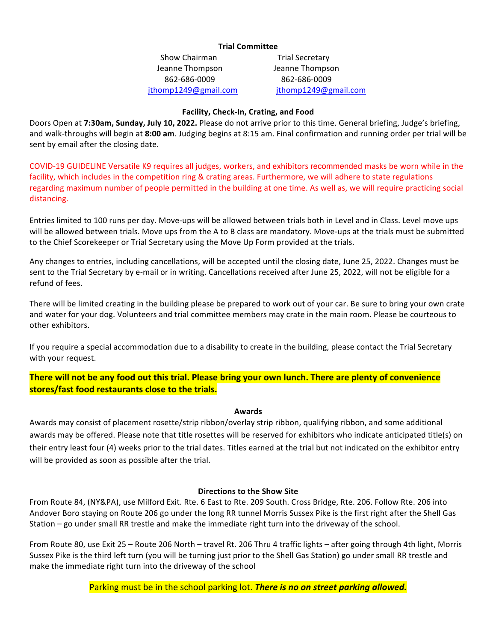### **Trial Committee**

Show Chairman **Trial Secretary** Jeanne Thompson Jeanne Thompson 862-686-0009 862-686-0009 jthomp1249@gmail.com jthomp1249@gmail.com

### **Facility, Check-In, Crating, and Food**

Doors Open at 7:30am, Sunday, July 10, 2022. Please do not arrive prior to this time. General briefing, Judge's briefing, and walk-throughs will begin at 8:00 am. Judging begins at 8:15 am. Final confirmation and running order per trial will be sent by email after the closing date.

COVID-19 GUIDELINE Versatile K9 requires all judges, workers, and exhibitors recommended masks be worn while in the facility, which includes in the competition ring & crating areas. Furthermore, we will adhere to state regulations regarding maximum number of people permitted in the building at one time. As well as, we will require practicing social distancing.

Entries limited to 100 runs per day. Move-ups will be allowed between trials both in Level and in Class. Level move ups will be allowed between trials. Move ups from the A to B class are mandatory. Move-ups at the trials must be submitted to the Chief Scorekeeper or Trial Secretary using the Move Up Form provided at the trials.

Any changes to entries, including cancellations, will be accepted until the closing date, June 25, 2022. Changes must be sent to the Trial Secretary by e-mail or in writing. Cancellations received after June 25, 2022, will not be eligible for a refund of fees.

There will be limited creating in the building please be prepared to work out of your car. Be sure to bring your own crate and water for your dog. Volunteers and trial committee members may crate in the main room. Please be courteous to other exhibitors.

If you require a special accommodation due to a disability to create in the building, please contact the Trial Secretary with your request.

**There will not be any food out this trial. Please bring your own lunch. There are plenty of convenience** stores/fast food restaurants close to the trials.

### **Awards**

Awards may consist of placement rosette/strip ribbon/overlay strip ribbon, qualifying ribbon, and some additional awards may be offered. Please note that title rosettes will be reserved for exhibitors who indicate anticipated title(s) on their entry least four (4) weeks prior to the trial dates. Titles earned at the trial but not indicated on the exhibitor entry will be provided as soon as possible after the trial.

### **Directions to the Show Site**

From Route 84, (NY&PA), use Milford Exit. Rte. 6 East to Rte. 209 South. Cross Bridge, Rte. 206. Follow Rte. 206 into Andover Boro staying on Route 206 go under the long RR tunnel Morris Sussex Pike is the first right after the Shell Gas Station – go under small RR trestle and make the immediate right turn into the driveway of the school.

From Route 80, use Exit 25 - Route 206 North - travel Rt. 206 Thru 4 traffic lights - after going through 4th light, Morris Sussex Pike is the third left turn (you will be turning just prior to the Shell Gas Station) go under small RR trestle and make the immediate right turn into the driveway of the school

Parking must be in the school parking lot. There is no on street parking allowed.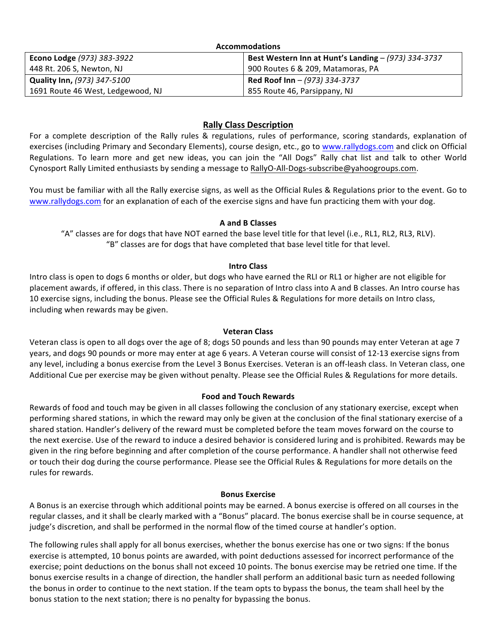| <b>Accommodations</b>              |                                                     |  |  |  |  |
|------------------------------------|-----------------------------------------------------|--|--|--|--|
| Econo Lodge (973) 383-3922         | Best Western Inn at Hunt's Landing - (973) 334-3737 |  |  |  |  |
| 448 Rt. 206 S, Newton, NJ          | 900 Routes 6 & 209, Matamoras, PA                   |  |  |  |  |
| <b>Quality Inn, (973) 347-5100</b> | Red Roof Inn - (973) 334-3737                       |  |  |  |  |
| 1691 Route 46 West, Ledgewood, NJ  | 855 Route 46, Parsippany, NJ                        |  |  |  |  |

### **Rally Class Description**

For a complete description of the Rally rules & regulations, rules of performance, scoring standards, explanation of exercises (including Primary and Secondary Elements), course design, etc., go to www.rallydogs.com and click on Official Regulations. To learn more and get new ideas, you can join the "All Dogs" Rally chat list and talk to other World Cynosport Rally Limited enthusiasts by sending a message to RallyO-All-Dogs-subscribe@yahoogroups.com.

You must be familiar with all the Rally exercise signs, as well as the Official Rules & Regulations prior to the event. Go to www.rallydogs.com for an explanation of each of the exercise signs and have fun practicing them with your dog.

### **A and B Classes**

"A" classes are for dogs that have NOT earned the base level title for that level (i.e., RL1, RL2, RL3, RLV). "B" classes are for dogs that have completed that base level title for that level.

### **Intro Class**

Intro class is open to dogs 6 months or older, but dogs who have earned the RLI or RL1 or higher are not eligible for placement awards, if offered, in this class. There is no separation of Intro class into A and B classes. An Intro course has 10 exercise signs, including the bonus. Please see the Official Rules & Regulations for more details on Intro class, including when rewards may be given.

### **Veteran Class**

Veteran class is open to all dogs over the age of 8; dogs 50 pounds and less than 90 pounds may enter Veteran at age 7 years, and dogs 90 pounds or more may enter at age 6 years. A Veteran course will consist of 12-13 exercise signs from any level, including a bonus exercise from the Level 3 Bonus Exercises. Veteran is an off-leash class. In Veteran class, one Additional Cue per exercise may be given without penalty. Please see the Official Rules & Regulations for more details.

### **Food and Touch Rewards**

Rewards of food and touch may be given in all classes following the conclusion of any stationary exercise, except when performing shared stations, in which the reward may only be given at the conclusion of the final stationary exercise of a shared station. Handler's delivery of the reward must be completed before the team moves forward on the course to the next exercise. Use of the reward to induce a desired behavior is considered luring and is prohibited. Rewards may be given in the ring before beginning and after completion of the course performance. A handler shall not otherwise feed or touch their dog during the course performance. Please see the Official Rules & Regulations for more details on the rules for rewards.

### **Bonus Exercise**

A Bonus is an exercise through which additional points may be earned. A bonus exercise is offered on all courses in the regular classes, and it shall be clearly marked with a "Bonus" placard. The bonus exercise shall be in course sequence, at judge's discretion, and shall be performed in the normal flow of the timed course at handler's option.

The following rules shall apply for all bonus exercises, whether the bonus exercise has one or two signs: If the bonus exercise is attempted, 10 bonus points are awarded, with point deductions assessed for incorrect performance of the exercise; point deductions on the bonus shall not exceed 10 points. The bonus exercise may be retried one time. If the bonus exercise results in a change of direction, the handler shall perform an additional basic turn as needed following the bonus in order to continue to the next station. If the team opts to bypass the bonus, the team shall heel by the bonus station to the next station; there is no penalty for bypassing the bonus.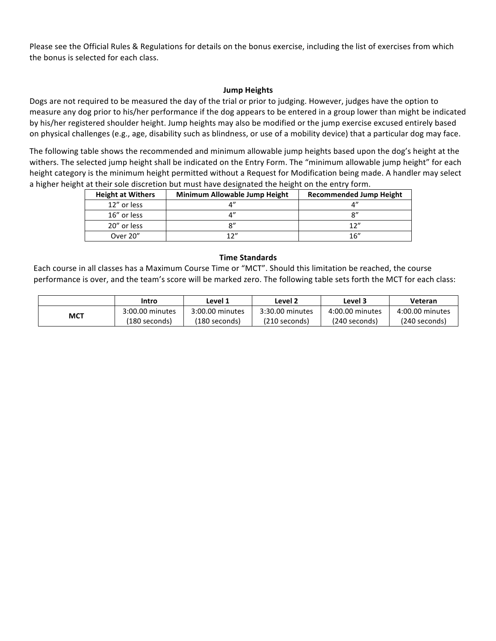Please see the Official Rules & Regulations for details on the bonus exercise, including the list of exercises from which the bonus is selected for each class.

### **Jump Heights**

Dogs are not required to be measured the day of the trial or prior to judging. However, judges have the option to measure any dog prior to his/her performance if the dog appears to be entered in a group lower than might be indicated by his/her registered shoulder height. Jump heights may also be modified or the jump exercise excused entirely based on physical challenges (e.g., age, disability such as blindness, or use of a mobility device) that a particular dog may face.

The following table shows the recommended and minimum allowable jump heights based upon the dog's height at the withers. The selected jump height shall be indicated on the Entry Form. The "minimum allowable jump height" for each height category is the minimum height permitted without a Request for Modification being made. A handler may select a higher height at their sole discretion but must have designated the height on the entry form.

| <b>Height at Withers</b> | Minimum Allowable Jump Height | <b>Recommended Jump Height</b> |
|--------------------------|-------------------------------|--------------------------------|
| 12" or less              |                               |                                |
| 16" or less              |                               | $\mathsf{Q}''$                 |
| 20" or less              | $\mathsf{R}''$                | 12''                           |
| Over 20"                 | 17"                           | 16''                           |

### **Time Standards**

Each course in all classes has a Maximum Course Time or "MCT". Should this limitation be reached, the course performance is over, and the team's score will be marked zero. The following table sets forth the MCT for each class:

|     | Intro           | Level 1         | Level 2         | Level 3         | Veteran         |
|-----|-----------------|-----------------|-----------------|-----------------|-----------------|
| MCT | 3:00.00 minutes | 3:00.00 minutes | 3:30.00 minutes | 4:00.00 minutes | 4:00.00 minutes |
|     | (180 seconds)   | (180 seconds)   | (210 seconds)   | (240 seconds)   | (240 seconds)   |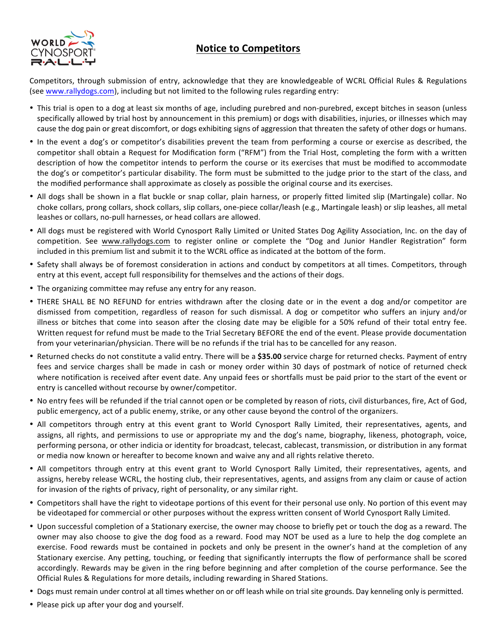## **Notice to Competitors**



Competitors, through submission of entry, acknowledge that they are knowledgeable of WCRL Official Rules & Regulations (see www.rallydogs.com), including but not limited to the following rules regarding entry:

- This trial is open to a dog at least six months of age, including purebred and non-purebred, except bitches in season (unless specifically allowed by trial host by announcement in this premium) or dogs with disabilities, injuries, or illnesses which may cause the dog pain or great discomfort, or dogs exhibiting signs of aggression that threaten the safety of other dogs or humans.
- In the event a dog's or competitor's disabilities prevent the team from performing a course or exercise as described, the competitor shall obtain a Request for Modification form ("RFM") from the Trial Host, completing the form with a written description of how the competitor intends to perform the course or its exercises that must be modified to accommodate the dog's or competitor's particular disability. The form must be submitted to the judge prior to the start of the class, and the modified performance shall approximate as closely as possible the original course and its exercises.
- All dogs shall be shown in a flat buckle or snap collar, plain harness, or properly fitted limited slip (Martingale) collar. No choke collars, prong collars, shock collars, slip collars, one-piece collar/leash (e.g., Martingale leash) or slip leashes, all metal leashes or collars, no-pull harnesses, or head collars are allowed.
- All dogs must be registered with World Cynosport Rally Limited or United States Dog Agility Association, Inc. on the day of competition. See www.rallydogs.com to register online or complete the "Dog and Junior Handler Registration" form included in this premium list and submit it to the WCRL office as indicated at the bottom of the form.
- Safety shall always be of foremost consideration in actions and conduct by competitors at all times. Competitors, through entry at this event, accept full responsibility for themselves and the actions of their dogs.
- The organizing committee may refuse any entry for any reason.
- THERE SHALL BE NO REFUND for entries withdrawn after the closing date or in the event a dog and/or competitor are dismissed from competition, regardless of reason for such dismissal. A dog or competitor who suffers an injury and/or illness or bitches that come into season after the closing date may be eligible for a 50% refund of their total entry fee. Written request for refund must be made to the Trial Secretary BEFORE the end of the event. Please provide documentation from your veterinarian/physician. There will be no refunds if the trial has to be cancelled for any reason.
- Returned checks do not constitute a valid entry. There will be a \$35.00 service charge for returned checks. Payment of entry fees and service charges shall be made in cash or money order within 30 days of postmark of notice of returned check where notification is received after event date. Any unpaid fees or shortfalls must be paid prior to the start of the event or entry is cancelled without recourse by owner/competitor.
- No entry fees will be refunded if the trial cannot open or be completed by reason of riots, civil disturbances, fire, Act of God, public emergency, act of a public enemy, strike, or any other cause beyond the control of the organizers.
- All competitors through entry at this event grant to World Cynosport Rally Limited, their representatives, agents, and assigns, all rights, and permissions to use or appropriate my and the dog's name, biography, likeness, photograph, voice, performing persona, or other indicia or identity for broadcast, telecast, cablecast, transmission, or distribution in any format or media now known or hereafter to become known and waive any and all rights relative thereto.
- All competitors through entry at this event grant to World Cynosport Rally Limited, their representatives, agents, and assigns, hereby release WCRL, the hosting club, their representatives, agents, and assigns from any claim or cause of action for invasion of the rights of privacy, right of personality, or any similar right.
- Competitors shall have the right to videotape portions of this event for their personal use only. No portion of this event may be videotaped for commercial or other purposes without the express written consent of World Cynosport Rally Limited.
- Upon successful completion of a Stationary exercise, the owner may choose to briefly pet or touch the dog as a reward. The owner may also choose to give the dog food as a reward. Food may NOT be used as a lure to help the dog complete an exercise. Food rewards must be contained in pockets and only be present in the owner's hand at the completion of any Stationary exercise. Any petting, touching, or feeding that significantly interrupts the flow of performance shall be scored accordingly. Rewards may be given in the ring before beginning and after completion of the course performance. See the Official Rules & Regulations for more details, including rewarding in Shared Stations.
- Dogs must remain under control at all times whether on or off leash while on trial site grounds. Day kenneling only is permitted.
- Please pick up after your dog and yourself.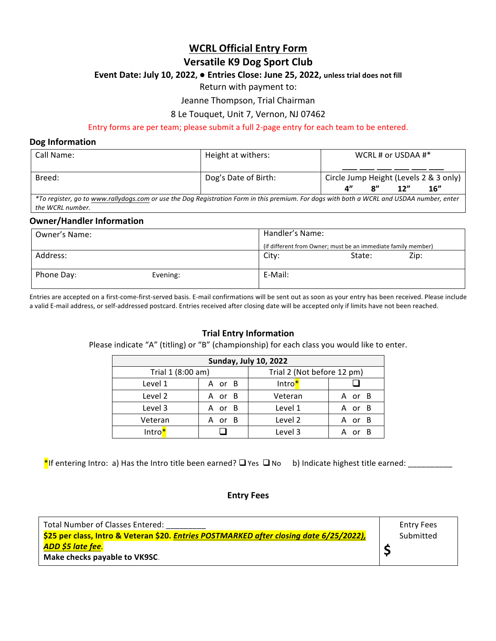## **WCRL Official Entry Form**

### **Versatile K9 Dog Sport Club**

### Event Date: July 10, 2022,  $\bullet$  Entries Close: June 25, 2022, unless trial does not fill

Return with payment to:

Jeanne Thompson, Trial Chairman

### 8 Le Touquet, Unit 7, Vernon, NJ 07462

### Entry forms are per team; please submit a full 2-page entry for each team to be entered.

### **Dog Information**

| Call Name:                                                                                                                                | Height at withers:   | WCRL # or USDAA $\#$ *      |                             |     |                                        |
|-------------------------------------------------------------------------------------------------------------------------------------------|----------------------|-----------------------------|-----------------------------|-----|----------------------------------------|
|                                                                                                                                           |                      |                             |                             |     |                                        |
| Breed:                                                                                                                                    | Dog's Date of Birth: |                             |                             |     | Circle Jump Height (Levels 2 & 3 only) |
|                                                                                                                                           |                      | $\mathbf{A}^{\prime\prime}$ | $\mathbf{R}^{\prime\prime}$ | 12" | 16"                                    |
| *To register, go to www.rallydogs.com or use the Dog Registration Form in this premium. For dogs with both a WCRL and USDAA number, enter |                      |                             |                             |     |                                        |
| the WCRL number.                                                                                                                          |                      |                             |                             |     |                                        |

### **Owner/Handler Information**

| Owner's Name: |          | Handler's Name: |                                                               |      |  |  |
|---------------|----------|-----------------|---------------------------------------------------------------|------|--|--|
|               |          |                 | (if different from Owner; must be an immediate family member) |      |  |  |
| Address:      |          | City:           | State:                                                        | Zip: |  |  |
| Phone Day:    | Evening: | E-Mail:         |                                                               |      |  |  |

Entries are accepted on a first-come-first-served basis. E-mail confirmations will be sent out as soon as your entry has been received. Please include a valid E-mail address, or self-addressed postcard. Entries received after closing date will be accepted only if limits have not been reached.

### **Trial Entry Information**

Please indicate "A" (titling) or "B" (championship) for each class you would like to enter.

| <b>Sunday, July 10, 2022</b> |        |                            |        |  |  |  |  |
|------------------------------|--------|----------------------------|--------|--|--|--|--|
| Trial 1 (8:00 am)            |        | Trial 2 (Not before 12 pm) |        |  |  |  |  |
| Level 1                      | A or B | Intro*                     |        |  |  |  |  |
| Level 2                      | A or B | Veteran                    | A or B |  |  |  |  |
| Level 3                      | A or B | Level 1                    | A or B |  |  |  |  |
| Veteran                      | A or B | Level 2                    | A or B |  |  |  |  |
| Intro <mark>*</mark>         |        | Level 3                    |        |  |  |  |  |

\*If entering Intro: a) Has the Intro title been earned? qYes qNo b) Indicate highest title earned: \_\_\_\_\_\_\_\_\_\_

### **Entry Fees**

| Total Number of Classes Entered:                                                               | <b>Entry Fees</b> |
|------------------------------------------------------------------------------------------------|-------------------|
| \$25 per class, Intro & Veteran \$20. <i>Entries POSTMARKED after closing date 6/25/2022),</i> | Submitted         |
| . <mark>ADD \$5 late fee.</mark>                                                               |                   |
| Make checks payable to VK9SC.                                                                  |                   |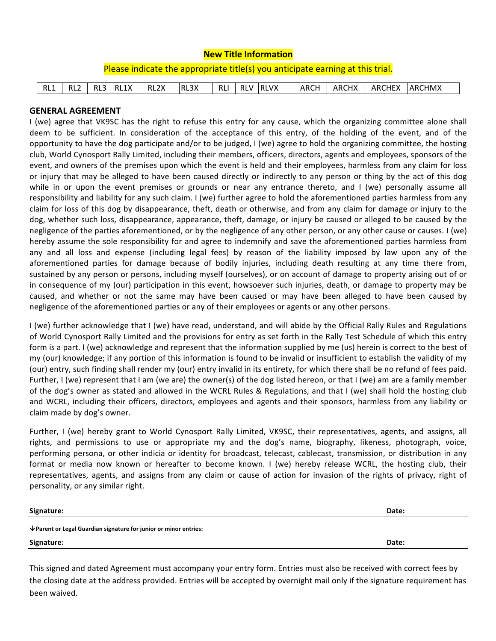| <b>New Title Information</b>                                                   |                 |     |      |                   |      |            |  |          |      |       |               |  |
|--------------------------------------------------------------------------------|-----------------|-----|------|-------------------|------|------------|--|----------|------|-------|---------------|--|
| Please indicate the appropriate title(s) you anticipate earning at this trial. |                 |     |      |                   |      |            |  |          |      |       |               |  |
|                                                                                |                 |     |      |                   |      |            |  |          |      |       |               |  |
| RL1                                                                            | RL <sub>2</sub> | RL3 | RL1X | RL <sub>2</sub> X | RL3X | <b>RLI</b> |  | RLV RLVX | ARCH | ARCHX | ARCHEX ARCHMX |  |

### **GENERAL AGREEMENT**

I (we) agree that VK9SC has the right to refuse this entry for any cause, which the organizing committee alone shall deem to be sufficient. In consideration of the acceptance of this entry, of the holding of the event, and of the opportunity to have the dog participate and/or to be judged, I (we) agree to hold the organizing committee, the hosting club, World Cynosport Rally Limited, including their members, officers, directors, agents and employees, sponsors of the event, and owners of the premises upon which the event is held and their employees, harmless from any claim for loss or injury that may be alleged to have been caused directly or indirectly to any person or thing by the act of this dog while in or upon the event premises or grounds or near any entrance thereto, and I (we) personally assume all responsibility and liability for any such claim. I (we) further agree to hold the aforementioned parties harmless from any claim for loss of this dog by disappearance, theft, death or otherwise, and from any claim for damage or injury to the dog, whether such loss, disappearance, appearance, theft, damage, or injury be caused or alleged to be caused by the negligence of the parties aforementioned, or by the negligence of any other person, or any other cause or causes. I (we) hereby assume the sole responsibility for and agree to indemnify and save the aforementioned parties harmless from any and all loss and expense (including legal fees) by reason of the liability imposed by law upon any of the aforementioned parties for damage because of bodily injuries, including death resulting at any time there from, sustained by any person or persons, including myself (ourselves), or on account of damage to property arising out of or in consequence of my (our) participation in this event, howsoever such injuries, death, or damage to property may be caused, and whether or not the same may have been caused or may have been alleged to have been caused by negligence of the aforementioned parties or any of their employees or agents or any other persons.

I (we) further acknowledge that I (we) have read, understand, and will abide by the Official Rally Rules and Regulations of World Cynosport Rally Limited and the provisions for entry as set forth in the Rally Test Schedule of which this entry form is a part. I (we) acknowledge and represent that the information supplied by me (us) herein is correct to the best of my (our) knowledge; if any portion of this information is found to be invalid or insufficient to establish the validity of my (our) entry, such finding shall render my (our) entry invalid in its entirety, for which there shall be no refund of fees paid. Further, I (we) represent that I am (we are) the owner(s) of the dog listed hereon, or that I (we) am are a family member of the dog's owner as stated and allowed in the WCRL Rules & Regulations, and that I (we) shall hold the hosting club and WCRL, including their officers, directors, employees and agents and their sponsors, harmless from any liability or claim made by dog's owner.

Further, I (we) hereby grant to World Cynosport Rally Limited, VK9SC, their representatives, agents, and assigns, all rights, and permissions to use or appropriate my and the dog's name, biography, likeness, photograph, voice, performing persona, or other indicia or identity for broadcast, telecast, cablecast, transmission, or distribution in any format or media now known or hereafter to become known. I (we) hereby release WCRL, the hosting club, their representatives, agents, and assigns from any claim or cause of action for invasion of the rights of privacy, right of personality, or any similar right.

| Signature:                                                                      | Date: |
|---------------------------------------------------------------------------------|-------|
| $\triangledown$ Parent or Legal Guardian signature for junior or minor entries: |       |
| Signature:                                                                      | Date: |

This signed and dated Agreement must accompany your entry form. Entries must also be received with correct fees by the closing date at the address provided. Entries will be accepted by overnight mail only if the signature requirement has been waived.